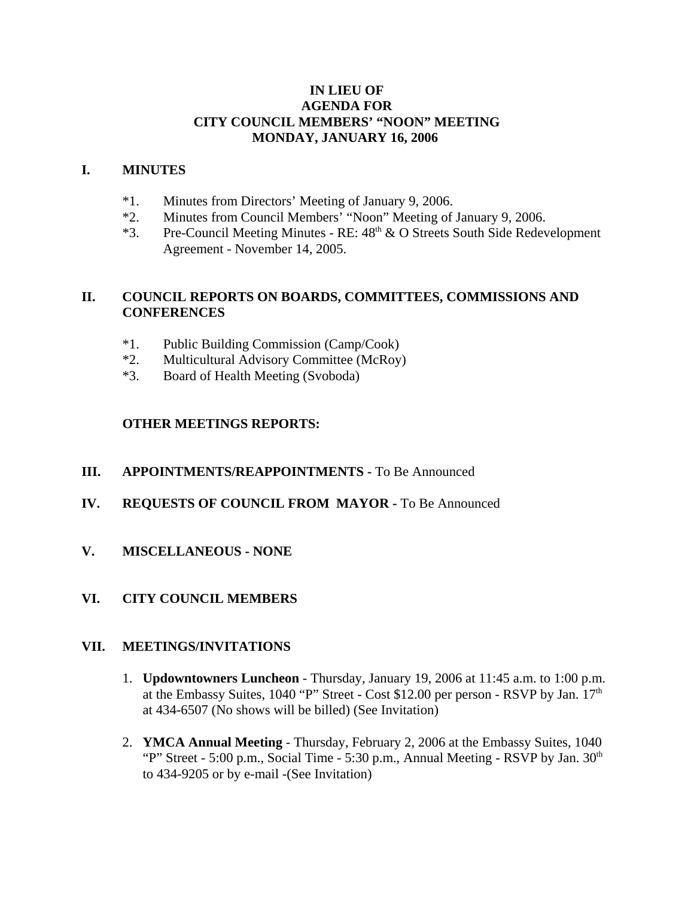## **IN LIEU OF AGENDA FOR CITY COUNCIL MEMBERS' "NOON" MEETING MONDAY, JANUARY 16, 2006**

#### **I. MINUTES**

- \*1. Minutes from Directors' Meeting of January 9, 2006.
- \*2. Minutes from Council Members' "Noon" Meeting of January 9, 2006.
- \*3. Pre-Council Meeting Minutes RE:  $48<sup>th</sup>$  & O Streets South Side Redevelopment Agreement - November 14, 2005.

## **II. COUNCIL REPORTS ON BOARDS, COMMITTEES, COMMISSIONS AND CONFERENCES**

- \*1. Public Building Commission (Camp/Cook)
- \*2. Multicultural Advisory Committee (McRoy)
- \*3. Board of Health Meeting (Svoboda)

# **OTHER MEETINGS REPORTS:**

- **III.** APPOINTMENTS/REAPPOINTMENTS To Be Announced
- **IV. REQUESTS OF COUNCIL FROM MAYOR -** To Be Announced
- **V. MISCELLANEOUS NONE**
- **VI. CITY COUNCIL MEMBERS**

#### **VII. MEETINGS/INVITATIONS**

- 1. **Updowntowners Luncheon** Thursday, January 19, 2006 at 11:45 a.m. to 1:00 p.m. at the Embassy Suites, 1040 "P" Street - Cost \$12.00 per person - RSVP by Jan. 17<sup>th</sup> at 434-6507 (No shows will be billed) (See Invitation)
- 2. **YMCA Annual Meeting** Thursday, February 2, 2006 at the Embassy Suites, 1040 "P" Street - 5:00 p.m., Social Time - 5:30 p.m., Annual Meeting - RSVP by Jan.  $30<sup>th</sup>$ to 434-9205 or by e-mail -(See Invitation)